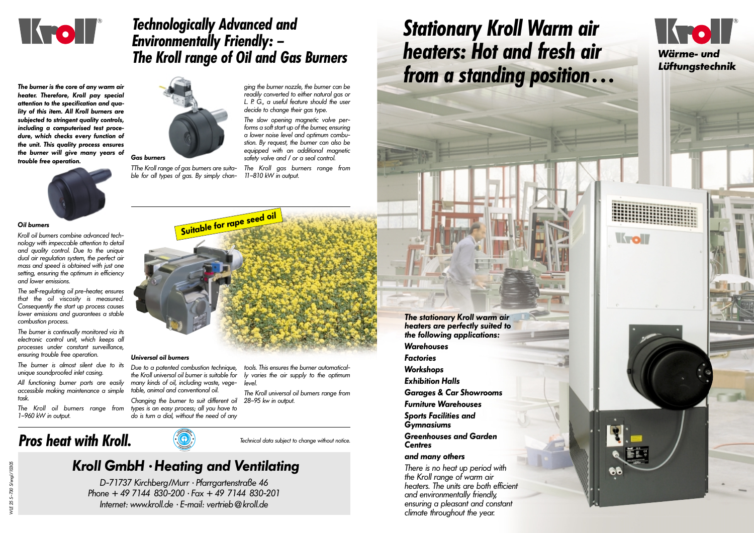The stationary Kroll warm air heaters are perfectly suited to the following applications: **Warehouses Factories Workshops** Exhibition Halls Garages & Car Showrooms Furniture Warehouses Sports Facilities and Gymnasiums Greenhouses and Garden **Centres** 

### and many others

There is no heat up period with the Kroll range of warm air heaters. The units are both efficient and environmentally friendly, ensuring a pleasant and constant climate throughout the year.







## Technologically Advanced and Environmentally Friendly: – The Kroll range of Oil and Gas Burners

The burner is almost silent due to its unique soundproofed inlet casing.

#### Oil burners

Kroll oil burners combine advanced technology with impeccable attention to detail and quality control. Due to the unique dual air regulation system, the perfect air mass and speed is obtained with just one setting, ensuring the optimum in efficiency and lower emissions.

The self-regulating oil pre-heater, ensures that the oil viscosity is measured. Consequently the start up process causes lower emissions and guarantees a stable combustion process.

The burner is continually monitored via its electronic control unit, which keeps all processes under constant surveillance, ensuring trouble free operation.

All functioning burner parts are easily accessible making maintenance a simple task.

The Kroll oil burners range from 1–960 kW in output.



TThe Kroll range of gas burners are suitable for all types of gas. By simply changing the burner nozzle, the burner can be readily converted to either natural gas or L. P. G., a useful feature should the user decide to change their gas type.

The slow opening magnetic valve performs a soft start up of the burner, ensuring a lower noise level and optimum combustion. By request, the burner can also be equipped with an additional magnetic safety valve and / or a seal control.

The Kroll gas burners range from 11–810 kW in output.

#### Universal oil burners

Due to a patented combustion technique, the Kroll universal oil burner is suitable for many kinds of oil, including waste, vegetable, animal and conventional oil.

Changing the burner to suit different oil types is an easy process; all you have to do is turn a dial, without the need of any

tools. This ensures the burner automatically varies the air supply to the optimum level.

The Kroll universal oil burners range from 28–95 kw in output.

The burner is the core of any warm air heater. Therefore, Kroll pay special attention to the specification and quality of this item. All Kroll burners are subiected to stringent quality controls, including a computerised test procedure, which checks every function of the unit. This quality process ensures the burner will give many years of trouble free operation.



Technical data subject to change without notice.

### Kroll GmbH · Heating and Ventilating

D-71737 Kirchberg/Murr · Pfarrgartenstraße 46 Phone  $+497144830-200$   $\cdot$  Fax  $+497144830-201$ Internet: www.kroll.de · E-mail: vertrieb@kroll.de

## Stationary Kroll Warm air heaters: Hot and fresh air from a standing position ...

## Pros heat with Kroll.